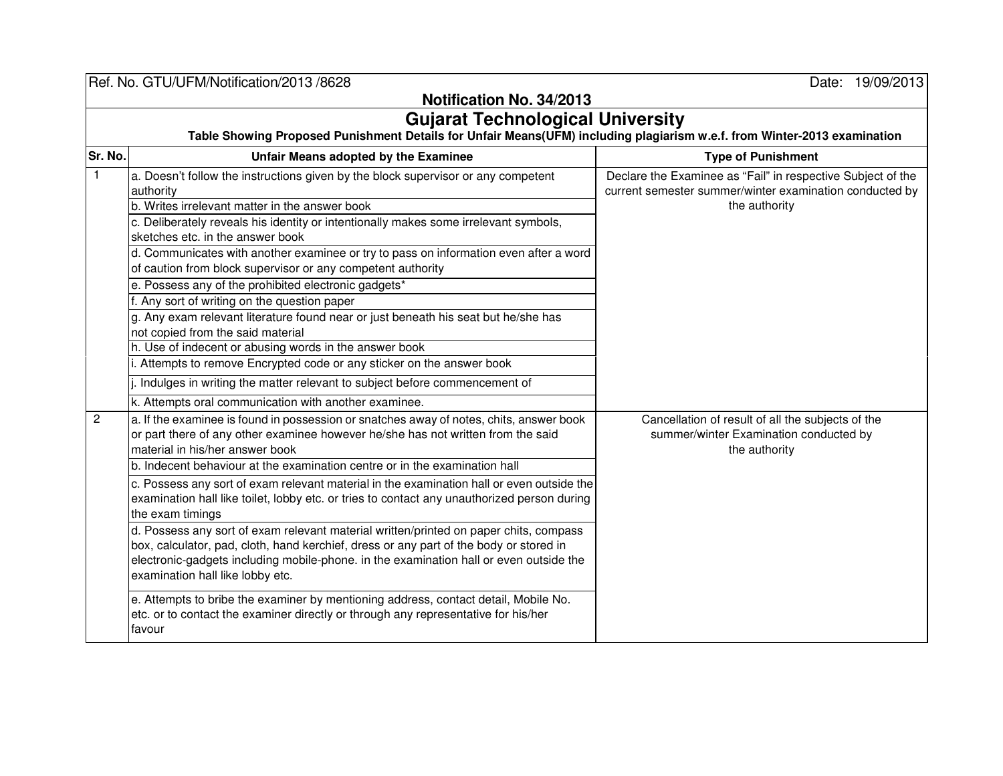|                                         | Ref. No. GTU/UFM/Notification/2013 /8628                                                                                                                                                                                                                                                                      | Date: 19/09/2013                                                                                                                        |  |  |
|-----------------------------------------|---------------------------------------------------------------------------------------------------------------------------------------------------------------------------------------------------------------------------------------------------------------------------------------------------------------|-----------------------------------------------------------------------------------------------------------------------------------------|--|--|
| Notification No. 34/2013                |                                                                                                                                                                                                                                                                                                               |                                                                                                                                         |  |  |
| <b>Gujarat Technological University</b> |                                                                                                                                                                                                                                                                                                               |                                                                                                                                         |  |  |
| Sr. No.                                 | Table Showing Proposed Punishment Details for Unfair Means(UFM) including plagiarism w.e.f. from Winter-2013 examination                                                                                                                                                                                      |                                                                                                                                         |  |  |
|                                         | Unfair Means adopted by the Examinee                                                                                                                                                                                                                                                                          | <b>Type of Punishment</b>                                                                                                               |  |  |
| $\mathbf{1}$                            | a. Doesn't follow the instructions given by the block supervisor or any competent<br>authority                                                                                                                                                                                                                | Declare the Examinee as "Fail" in respective Subject of the<br>current semester summer/winter examination conducted by<br>the authority |  |  |
|                                         | b. Writes irrelevant matter in the answer book                                                                                                                                                                                                                                                                |                                                                                                                                         |  |  |
|                                         | c. Deliberately reveals his identity or intentionally makes some irrelevant symbols,<br>sketches etc. in the answer book                                                                                                                                                                                      |                                                                                                                                         |  |  |
|                                         | d. Communicates with another examinee or try to pass on information even after a word<br>of caution from block supervisor or any competent authority                                                                                                                                                          |                                                                                                                                         |  |  |
|                                         | e. Possess any of the prohibited electronic gadgets*                                                                                                                                                                                                                                                          |                                                                                                                                         |  |  |
|                                         | f. Any sort of writing on the question paper                                                                                                                                                                                                                                                                  |                                                                                                                                         |  |  |
|                                         | g. Any exam relevant literature found near or just beneath his seat but he/she has<br>not copied from the said material                                                                                                                                                                                       |                                                                                                                                         |  |  |
|                                         | h. Use of indecent or abusing words in the answer book                                                                                                                                                                                                                                                        |                                                                                                                                         |  |  |
|                                         | i. Attempts to remove Encrypted code or any sticker on the answer book                                                                                                                                                                                                                                        |                                                                                                                                         |  |  |
|                                         | j. Indulges in writing the matter relevant to subject before commencement of                                                                                                                                                                                                                                  |                                                                                                                                         |  |  |
|                                         | k. Attempts oral communication with another examinee.                                                                                                                                                                                                                                                         |                                                                                                                                         |  |  |
| $\overline{c}$                          | a. If the examinee is found in possession or snatches away of notes, chits, answer book<br>or part there of any other examinee however he/she has not written from the said<br>material in his/her answer book                                                                                                | Cancellation of result of all the subjects of the<br>summer/winter Examination conducted by<br>the authority                            |  |  |
|                                         | b. Indecent behaviour at the examination centre or in the examination hall                                                                                                                                                                                                                                    |                                                                                                                                         |  |  |
|                                         | c. Possess any sort of exam relevant material in the examination hall or even outside the<br>examination hall like toilet, lobby etc. or tries to contact any unauthorized person during<br>the exam timings                                                                                                  |                                                                                                                                         |  |  |
|                                         | d. Possess any sort of exam relevant material written/printed on paper chits, compass<br>box, calculator, pad, cloth, hand kerchief, dress or any part of the body or stored in<br>electronic-gadgets including mobile-phone. in the examination hall or even outside the<br>examination hall like lobby etc. |                                                                                                                                         |  |  |
|                                         | e. Attempts to bribe the examiner by mentioning address, contact detail, Mobile No.<br>etc. or to contact the examiner directly or through any representative for his/her<br>favour                                                                                                                           |                                                                                                                                         |  |  |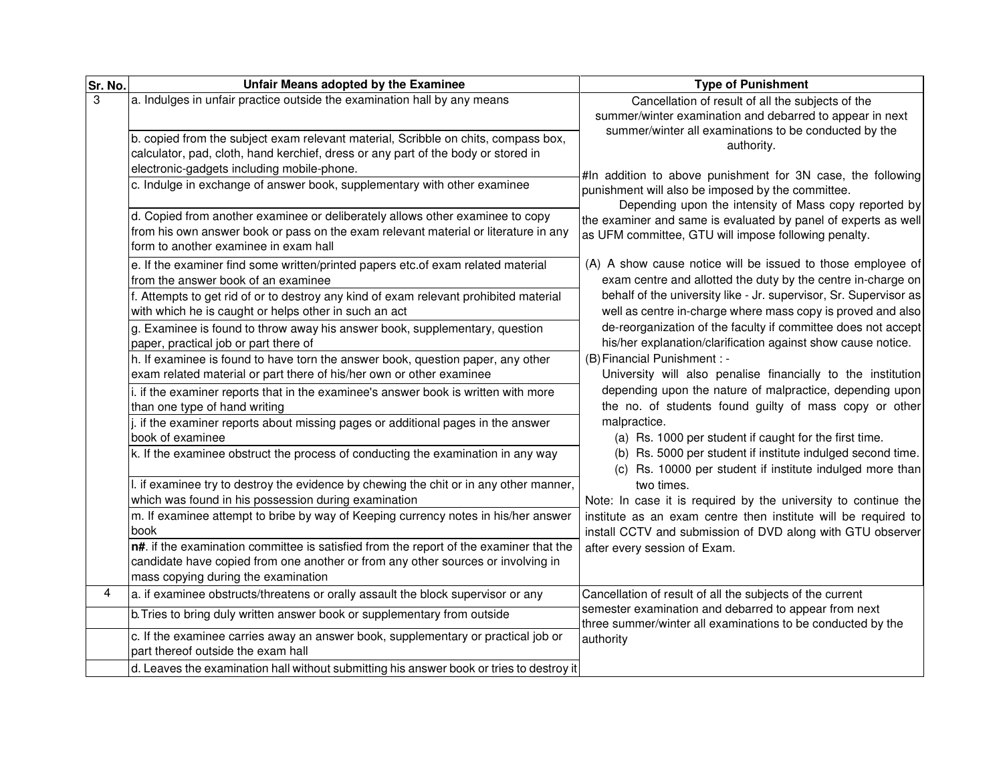| Sr. No. | Unfair Means adopted by the Examinee                                                                                                                                                                                  | <b>Type of Punishment</b>                                                                                                                                                                                                                                                                                                                                                                                                                                                                                                                                                                                                                                                                                                                                                                                                                                                                                                                                                                                                                                                                                                                                                                                                                                                                                                                                                                         |
|---------|-----------------------------------------------------------------------------------------------------------------------------------------------------------------------------------------------------------------------|---------------------------------------------------------------------------------------------------------------------------------------------------------------------------------------------------------------------------------------------------------------------------------------------------------------------------------------------------------------------------------------------------------------------------------------------------------------------------------------------------------------------------------------------------------------------------------------------------------------------------------------------------------------------------------------------------------------------------------------------------------------------------------------------------------------------------------------------------------------------------------------------------------------------------------------------------------------------------------------------------------------------------------------------------------------------------------------------------------------------------------------------------------------------------------------------------------------------------------------------------------------------------------------------------------------------------------------------------------------------------------------------------|
| 3       | a. Indulges in unfair practice outside the examination hall by any means                                                                                                                                              | Cancellation of result of all the subjects of the<br>summer/winter examination and debarred to appear in next<br>summer/winter all examinations to be conducted by the                                                                                                                                                                                                                                                                                                                                                                                                                                                                                                                                                                                                                                                                                                                                                                                                                                                                                                                                                                                                                                                                                                                                                                                                                            |
|         | b. copied from the subject exam relevant material, Scribble on chits, compass box,<br>calculator, pad, cloth, hand kerchief, dress or any part of the body or stored in<br>electronic-gadgets including mobile-phone. | authority.<br>#In addition to above punishment for 3N case, the following<br>punishment will also be imposed by the committee.<br>Depending upon the intensity of Mass copy reported by<br>the examiner and same is evaluated by panel of experts as well<br>as UFM committee, GTU will impose following penalty.<br>(A) A show cause notice will be issued to those employee of<br>exam centre and allotted the duty by the centre in-charge on<br>behalf of the university like - Jr. supervisor, Sr. Supervisor as<br>well as centre in-charge where mass copy is proved and also<br>de-reorganization of the faculty if committee does not accept<br>his/her explanation/clarification against show cause notice.<br>(B) Financial Punishment : -<br>University will also penalise financially to the institution<br>depending upon the nature of malpractice, depending upon<br>the no. of students found guilty of mass copy or other<br>malpractice.<br>(a) Rs. 1000 per student if caught for the first time.<br>(b) Rs. 5000 per student if institute indulged second time.<br>(c) Rs. 10000 per student if institute indulged more than<br>two times.<br>Note: In case it is required by the university to continue the<br>institute as an exam centre then institute will be required to<br>install CCTV and submission of DVD along with GTU observer<br>after every session of Exam. |
|         | c. Indulge in exchange of answer book, supplementary with other examinee                                                                                                                                              |                                                                                                                                                                                                                                                                                                                                                                                                                                                                                                                                                                                                                                                                                                                                                                                                                                                                                                                                                                                                                                                                                                                                                                                                                                                                                                                                                                                                   |
|         | d. Copied from another examinee or deliberately allows other examinee to copy<br>from his own answer book or pass on the exam relevant material or literature in any<br>form to another examinee in exam hall         |                                                                                                                                                                                                                                                                                                                                                                                                                                                                                                                                                                                                                                                                                                                                                                                                                                                                                                                                                                                                                                                                                                                                                                                                                                                                                                                                                                                                   |
|         | e. If the examiner find some written/printed papers etc.of exam related material<br>from the answer book of an examinee                                                                                               |                                                                                                                                                                                                                                                                                                                                                                                                                                                                                                                                                                                                                                                                                                                                                                                                                                                                                                                                                                                                                                                                                                                                                                                                                                                                                                                                                                                                   |
|         | f. Attempts to get rid of or to destroy any kind of exam relevant prohibited material<br>with which he is caught or helps other in such an act                                                                        |                                                                                                                                                                                                                                                                                                                                                                                                                                                                                                                                                                                                                                                                                                                                                                                                                                                                                                                                                                                                                                                                                                                                                                                                                                                                                                                                                                                                   |
|         | g. Examinee is found to throw away his answer book, supplementary, question<br>paper, practical job or part there of                                                                                                  |                                                                                                                                                                                                                                                                                                                                                                                                                                                                                                                                                                                                                                                                                                                                                                                                                                                                                                                                                                                                                                                                                                                                                                                                                                                                                                                                                                                                   |
|         | h. If examinee is found to have torn the answer book, question paper, any other<br>exam related material or part there of his/her own or other examinee                                                               |                                                                                                                                                                                                                                                                                                                                                                                                                                                                                                                                                                                                                                                                                                                                                                                                                                                                                                                                                                                                                                                                                                                                                                                                                                                                                                                                                                                                   |
|         | i. if the examiner reports that in the examinee's answer book is written with more<br>than one type of hand writing                                                                                                   |                                                                                                                                                                                                                                                                                                                                                                                                                                                                                                                                                                                                                                                                                                                                                                                                                                                                                                                                                                                                                                                                                                                                                                                                                                                                                                                                                                                                   |
|         | j. if the examiner reports about missing pages or additional pages in the answer<br>book of examinee                                                                                                                  |                                                                                                                                                                                                                                                                                                                                                                                                                                                                                                                                                                                                                                                                                                                                                                                                                                                                                                                                                                                                                                                                                                                                                                                                                                                                                                                                                                                                   |
|         | k. If the examinee obstruct the process of conducting the examination in any way                                                                                                                                      |                                                                                                                                                                                                                                                                                                                                                                                                                                                                                                                                                                                                                                                                                                                                                                                                                                                                                                                                                                                                                                                                                                                                                                                                                                                                                                                                                                                                   |
|         | I. if examinee try to destroy the evidence by chewing the chit or in any other manner,<br>which was found in his possession during examination                                                                        |                                                                                                                                                                                                                                                                                                                                                                                                                                                                                                                                                                                                                                                                                                                                                                                                                                                                                                                                                                                                                                                                                                                                                                                                                                                                                                                                                                                                   |
|         | m. If examinee attempt to bribe by way of Keeping currency notes in his/her answer<br>book                                                                                                                            |                                                                                                                                                                                                                                                                                                                                                                                                                                                                                                                                                                                                                                                                                                                                                                                                                                                                                                                                                                                                                                                                                                                                                                                                                                                                                                                                                                                                   |
|         | n#. if the examination committee is satisfied from the report of the examiner that the<br>candidate have copied from one another or from any other sources or involving in<br>mass copying during the examination     |                                                                                                                                                                                                                                                                                                                                                                                                                                                                                                                                                                                                                                                                                                                                                                                                                                                                                                                                                                                                                                                                                                                                                                                                                                                                                                                                                                                                   |
| 4       | a. if examinee obstructs/threatens or orally assault the block supervisor or any                                                                                                                                      | Cancellation of result of all the subjects of the current<br>semester examination and debarred to appear from next<br>three summer/winter all examinations to be conducted by the<br>authority                                                                                                                                                                                                                                                                                                                                                                                                                                                                                                                                                                                                                                                                                                                                                                                                                                                                                                                                                                                                                                                                                                                                                                                                    |
|         | b. Tries to bring duly written answer book or supplementary from outside                                                                                                                                              |                                                                                                                                                                                                                                                                                                                                                                                                                                                                                                                                                                                                                                                                                                                                                                                                                                                                                                                                                                                                                                                                                                                                                                                                                                                                                                                                                                                                   |
|         | c. If the examinee carries away an answer book, supplementary or practical job or<br>part thereof outside the exam hall                                                                                               |                                                                                                                                                                                                                                                                                                                                                                                                                                                                                                                                                                                                                                                                                                                                                                                                                                                                                                                                                                                                                                                                                                                                                                                                                                                                                                                                                                                                   |
|         | d. Leaves the examination hall without submitting his answer book or tries to destroy it                                                                                                                              |                                                                                                                                                                                                                                                                                                                                                                                                                                                                                                                                                                                                                                                                                                                                                                                                                                                                                                                                                                                                                                                                                                                                                                                                                                                                                                                                                                                                   |